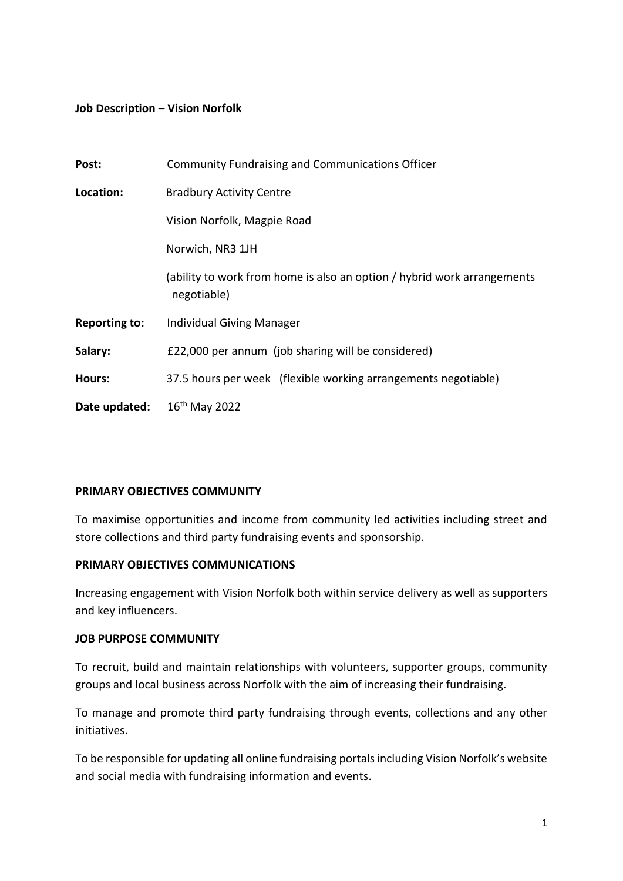### **Job Description – Vision Norfolk**

| Post:                | <b>Community Fundraising and Communications Officer</b>                                |
|----------------------|----------------------------------------------------------------------------------------|
| Location:            | <b>Bradbury Activity Centre</b>                                                        |
|                      | Vision Norfolk, Magpie Road                                                            |
|                      | Norwich, NR3 1JH                                                                       |
|                      | (ability to work from home is also an option / hybrid work arrangements<br>negotiable) |
| <b>Reporting to:</b> | <b>Individual Giving Manager</b>                                                       |
| Salary:              | £22,000 per annum (job sharing will be considered)                                     |
| Hours:               | 37.5 hours per week (flexible working arrangements negotiable)                         |
| Date updated:        | $16th$ May 2022                                                                        |

#### **PRIMARY OBJECTIVES COMMUNITY**

To maximise opportunities and income from community led activities including street and store collections and third party fundraising events and sponsorship.

#### **PRIMARY OBJECTIVES COMMUNICATIONS**

Increasing engagement with Vision Norfolk both within service delivery as well as supporters and key influencers.

#### **JOB PURPOSE COMMUNITY**

To recruit, build and maintain relationships with volunteers, supporter groups, community groups and local business across Norfolk with the aim of increasing their fundraising.

To manage and promote third party fundraising through events, collections and any other initiatives.

To be responsible for updating all online fundraising portals including Vision Norfolk's website and social media with fundraising information and events.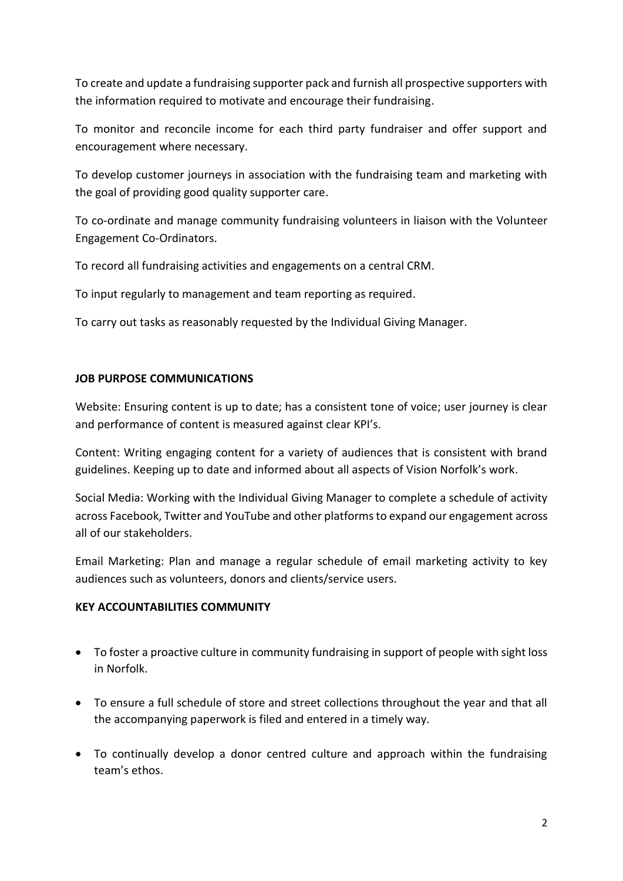To create and update a fundraising supporter pack and furnish all prospective supporters with the information required to motivate and encourage their fundraising.

To monitor and reconcile income for each third party fundraiser and offer support and encouragement where necessary.

To develop customer journeys in association with the fundraising team and marketing with the goal of providing good quality supporter care.

To co-ordinate and manage community fundraising volunteers in liaison with the Volunteer Engagement Co-Ordinators.

To record all fundraising activities and engagements on a central CRM.

To input regularly to management and team reporting as required.

To carry out tasks as reasonably requested by the Individual Giving Manager.

# **JOB PURPOSE COMMUNICATIONS**

Website: Ensuring content is up to date; has a consistent tone of voice; user journey is clear and performance of content is measured against clear KPI's.

Content: Writing engaging content for a variety of audiences that is consistent with brand guidelines. Keeping up to date and informed about all aspects of Vision Norfolk's work.

Social Media: Working with the Individual Giving Manager to complete a schedule of activity across Facebook, Twitter and YouTube and other platforms to expand our engagement across all of our stakeholders.

Email Marketing: Plan and manage a regular schedule of email marketing activity to key audiences such as volunteers, donors and clients/service users.

### **KEY ACCOUNTABILITIES COMMUNITY**

- To foster a proactive culture in community fundraising in support of people with sight loss in Norfolk.
- To ensure a full schedule of store and street collections throughout the year and that all the accompanying paperwork is filed and entered in a timely way.
- To continually develop a donor centred culture and approach within the fundraising team's ethos.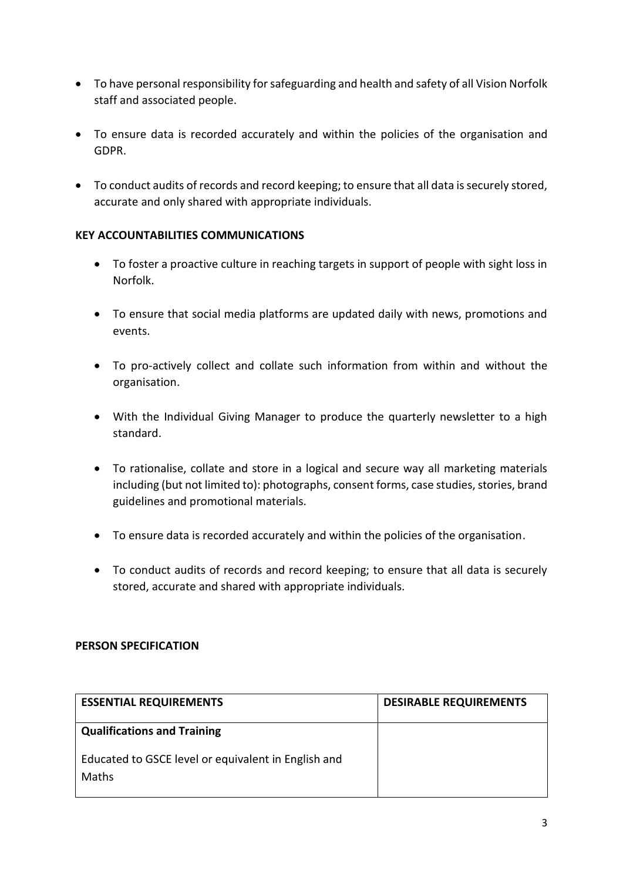- To have personal responsibility for safeguarding and health and safety of all Vision Norfolk staff and associated people.
- To ensure data is recorded accurately and within the policies of the organisation and GDPR.
- To conduct audits of records and record keeping; to ensure that all data is securely stored, accurate and only shared with appropriate individuals.

# **KEY ACCOUNTABILITIES COMMUNICATIONS**

- To foster a proactive culture in reaching targets in support of people with sight loss in Norfolk.
- To ensure that social media platforms are updated daily with news, promotions and events.
- To pro-actively collect and collate such information from within and without the organisation.
- With the Individual Giving Manager to produce the quarterly newsletter to a high standard.
- To rationalise, collate and store in a logical and secure way all marketing materials including (but not limited to): photographs, consent forms, case studies, stories, brand guidelines and promotional materials.
- To ensure data is recorded accurately and within the policies of the organisation.
- To conduct audits of records and record keeping; to ensure that all data is securely stored, accurate and shared with appropriate individuals.

### **PERSON SPECIFICATION**

| <b>ESSENTIAL REQUIREMENTS</b>                                       | <b>DESIRABLE REQUIREMENTS</b> |
|---------------------------------------------------------------------|-------------------------------|
| <b>Qualifications and Training</b>                                  |                               |
| Educated to GSCE level or equivalent in English and<br><b>Maths</b> |                               |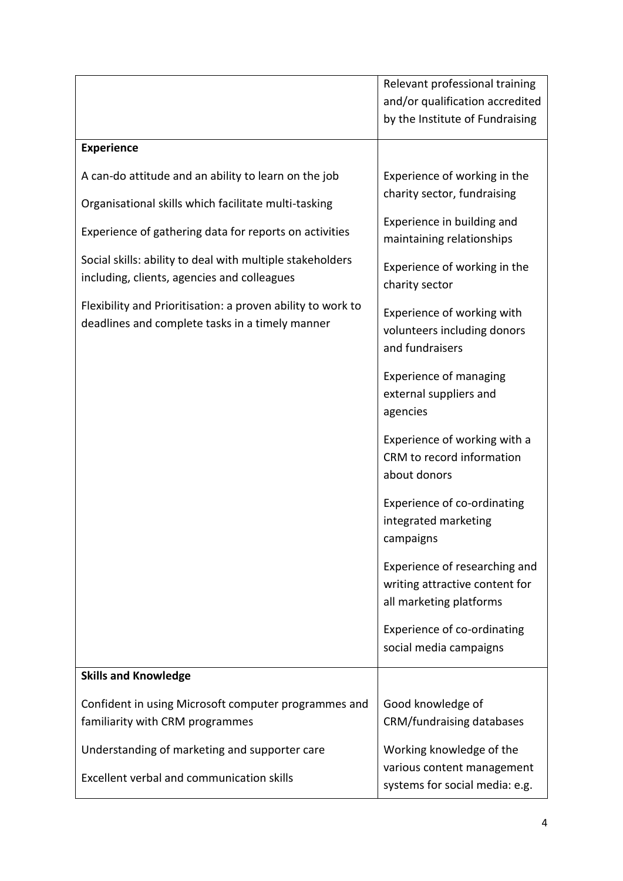|                                                                                                                | Relevant professional training                                                             |
|----------------------------------------------------------------------------------------------------------------|--------------------------------------------------------------------------------------------|
|                                                                                                                | and/or qualification accredited                                                            |
|                                                                                                                | by the Institute of Fundraising                                                            |
| <b>Experience</b>                                                                                              |                                                                                            |
| A can-do attitude and an ability to learn on the job                                                           | Experience of working in the                                                               |
| Organisational skills which facilitate multi-tasking                                                           | charity sector, fundraising                                                                |
| Experience of gathering data for reports on activities                                                         | Experience in building and<br>maintaining relationships                                    |
| Social skills: ability to deal with multiple stakeholders<br>including, clients, agencies and colleagues       | Experience of working in the<br>charity sector                                             |
| Flexibility and Prioritisation: a proven ability to work to<br>deadlines and complete tasks in a timely manner | Experience of working with<br>volunteers including donors<br>and fundraisers               |
|                                                                                                                | <b>Experience of managing</b><br>external suppliers and<br>agencies                        |
|                                                                                                                | Experience of working with a<br>CRM to record information<br>about donors                  |
|                                                                                                                | Experience of co-ordinating<br>integrated marketing<br>campaigns                           |
|                                                                                                                | Experience of researching and<br>writing attractive content for<br>all marketing platforms |
|                                                                                                                | Experience of co-ordinating<br>social media campaigns                                      |
| <b>Skills and Knowledge</b>                                                                                    |                                                                                            |
| Confident in using Microsoft computer programmes and<br>familiarity with CRM programmes                        | Good knowledge of<br>CRM/fundraising databases                                             |
| Understanding of marketing and supporter care                                                                  | Working knowledge of the                                                                   |
| Excellent verbal and communication skills                                                                      | various content management<br>systems for social media: e.g.                               |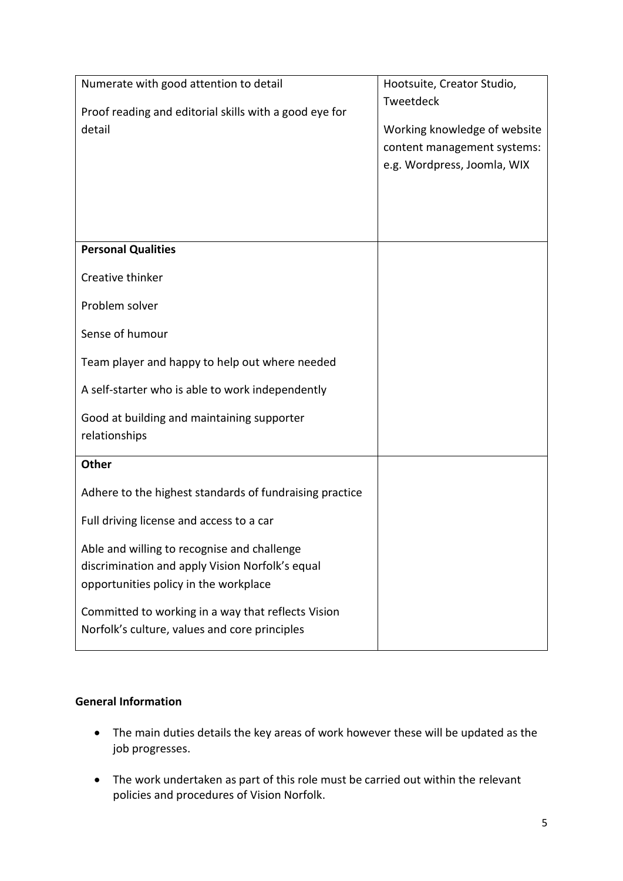| Numerate with good attention to detail<br>Proof reading and editorial skills with a good eye for<br>detail                              | Hootsuite, Creator Studio,<br>Tweetdeck<br>Working knowledge of website<br>content management systems:<br>e.g. Wordpress, Joomla, WIX |
|-----------------------------------------------------------------------------------------------------------------------------------------|---------------------------------------------------------------------------------------------------------------------------------------|
| <b>Personal Qualities</b>                                                                                                               |                                                                                                                                       |
| Creative thinker                                                                                                                        |                                                                                                                                       |
| Problem solver                                                                                                                          |                                                                                                                                       |
| Sense of humour                                                                                                                         |                                                                                                                                       |
| Team player and happy to help out where needed                                                                                          |                                                                                                                                       |
| A self-starter who is able to work independently                                                                                        |                                                                                                                                       |
| Good at building and maintaining supporter<br>relationships                                                                             |                                                                                                                                       |
| <b>Other</b>                                                                                                                            |                                                                                                                                       |
| Adhere to the highest standards of fundraising practice                                                                                 |                                                                                                                                       |
| Full driving license and access to a car                                                                                                |                                                                                                                                       |
| Able and willing to recognise and challenge<br>discrimination and apply Vision Norfolk's equal<br>opportunities policy in the workplace |                                                                                                                                       |
| Committed to working in a way that reflects Vision<br>Norfolk's culture, values and core principles                                     |                                                                                                                                       |

# **General Information**

- The main duties details the key areas of work however these will be updated as the job progresses.
- The work undertaken as part of this role must be carried out within the relevant policies and procedures of Vision Norfolk.